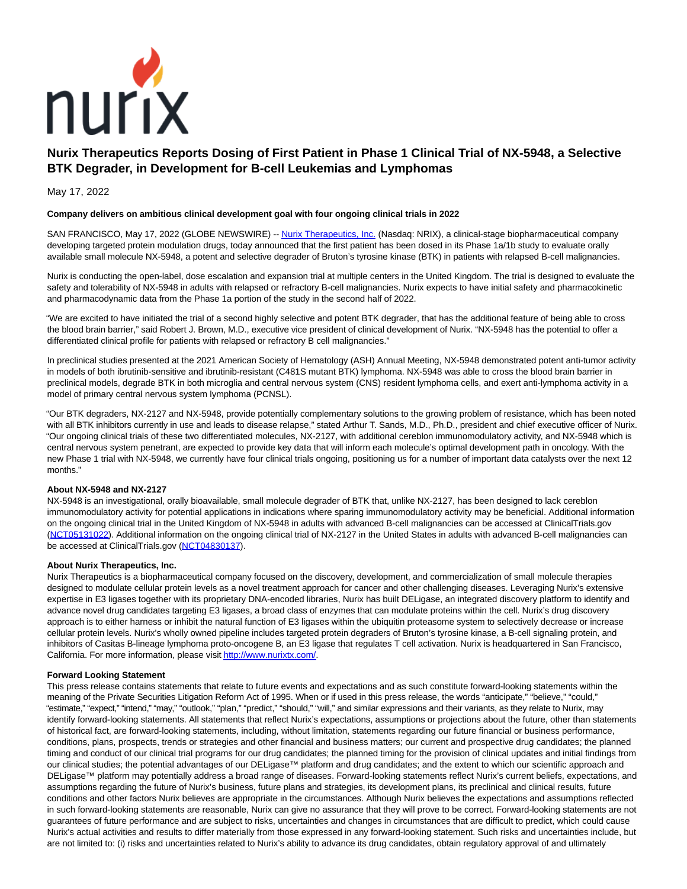

# **Nurix Therapeutics Reports Dosing of First Patient in Phase 1 Clinical Trial of NX-5948, a Selective BTK Degrader, in Development for B-cell Leukemias and Lymphomas**

May 17, 2022

### **Company delivers on ambitious clinical development goal with four ongoing clinical trials in 2022**

SAN FRANCISCO, May 17, 2022 (GLOBE NEWSWIRE) -- [Nurix Therapeutics, Inc. \(](https://www.globenewswire.com/Tracker?data=24VH0benk_8r1hENrlMx5u0j6o1EeYvua4FgDP9PnuPzDd_VA59mu1JLqA2V1SfHn9Gc7I6z0KvCyMf6p2f6W6InAhMd36ISeCMswmU1Yuo=)Nasdaq: NRIX), a clinical-stage biopharmaceutical company developing targeted protein modulation drugs, today announced that the first patient has been dosed in its Phase 1a/1b study to evaluate orally available small molecule NX-5948, a potent and selective degrader of Bruton's tyrosine kinase (BTK) in patients with relapsed B-cell malignancies.

Nurix is conducting the open-label, dose escalation and expansion trial at multiple centers in the United Kingdom. The trial is designed to evaluate the safety and tolerability of NX-5948 in adults with relapsed or refractory B-cell malignancies. Nurix expects to have initial safety and pharmacokinetic and pharmacodynamic data from the Phase 1a portion of the study in the second half of 2022.

"We are excited to have initiated the trial of a second highly selective and potent BTK degrader, that has the additional feature of being able to cross the blood brain barrier," said Robert J. Brown, M.D., executive vice president of clinical development of Nurix. "NX-5948 has the potential to offer a differentiated clinical profile for patients with relapsed or refractory B cell malignancies."

In preclinical studies presented at the 2021 American Society of Hematology (ASH) Annual Meeting, NX-5948 demonstrated potent anti-tumor activity in models of both ibrutinib-sensitive and ibrutinib-resistant (C481S mutant BTK) lymphoma. NX-5948 was able to cross the blood brain barrier in preclinical models, degrade BTK in both microglia and central nervous system (CNS) resident lymphoma cells, and exert anti-lymphoma activity in a model of primary central nervous system lymphoma (PCNSL).

"Our BTK degraders, NX-2127 and NX-5948, provide potentially complementary solutions to the growing problem of resistance, which has been noted with all BTK inhibitors currently in use and leads to disease relapse," stated Arthur T. Sands, M.D., Ph.D., president and chief executive officer of Nurix. "Our ongoing clinical trials of these two differentiated molecules, NX-2127, with additional cereblon immunomodulatory activity, and NX-5948 which is central nervous system penetrant, are expected to provide key data that will inform each molecule's optimal development path in oncology. With the new Phase 1 trial with NX-5948, we currently have four clinical trials ongoing, positioning us for a number of important data catalysts over the next 12 months."

### **About NX-5948 and NX-2127**

NX-5948 is an investigational, orally bioavailable, small molecule degrader of BTK that, unlike NX-2127, has been designed to lack cereblon immunomodulatory activity for potential applications in indications where sparing immunomodulatory activity may be beneficial. Additional information on the ongoing clinical trial in the United Kingdom of NX-5948 in adults with advanced B-cell malignancies can be accessed at ClinicalTrials.gov [\(NCT05131022\).](https://www.globenewswire.com/Tracker?data=1GTXp55cT6Ew15gpkEnHtHGfqroQW9Px-eON90ec4myQd6XFDihakR3rxUo1Zr0AM-V6ukihrF813KI_1b73ZkNNq-a-767Kho9LCIMacLk=) Additional information on the ongoing clinical trial of NX-2127 in the United States in adults with advanced B-cell malignancies can be accessed at ClinicalTrials.gov [\(NCT04830137\).](https://www.globenewswire.com/Tracker?data=DOuUe609EQ77ylq2o9MaRRAuF0YOsvyN3lgrvRqc_iiMwDg4-wm3BgdRmuBBGIBgjP6IywwM7aTMT3InIpVl1hR1q6ZKhbB-M-LYZ1QY_4A=)

### **About Nurix Therapeutics, Inc.**

Nurix Therapeutics is a biopharmaceutical company focused on the discovery, development, and commercialization of small molecule therapies designed to modulate cellular protein levels as a novel treatment approach for cancer and other challenging diseases. Leveraging Nurix's extensive expertise in E3 ligases together with its proprietary DNA-encoded libraries, Nurix has built DELigase, an integrated discovery platform to identify and advance novel drug candidates targeting E3 ligases, a broad class of enzymes that can modulate proteins within the cell. Nurix's drug discovery approach is to either harness or inhibit the natural function of E3 ligases within the ubiquitin proteasome system to selectively decrease or increase cellular protein levels. Nurix's wholly owned pipeline includes targeted protein degraders of Bruton's tyrosine kinase, a B-cell signaling protein, and inhibitors of Casitas B-lineage lymphoma proto-oncogene B, an E3 ligase that regulates T cell activation. Nurix is headquartered in San Francisco, California. For more information, please visi[t http://www.nurixtx.com/.](https://www.globenewswire.com/Tracker?data=6-vAwGfxPFzhWqrrPxyt1NYKLzXuZbRZPvPvEQZYtuelNYoyIKT9mcfqLp6eiIStXSo3VgJJ6OBji6rTQuw2y0ZVF3NkqqE9MtIdaZf6YA8=)

### **Forward Looking Statement**

This press release contains statements that relate to future events and expectations and as such constitute forward-looking statements within the meaning of the Private Securities Litigation Reform Act of 1995. When or if used in this press release, the words "anticipate," "believe," "could," "estimate," "expect," "intend," "may," "outlook," "plan," "predict," "should," "will," and similar expressions and their variants, as they relate to Nurix, may identify forward-looking statements. All statements that reflect Nurix's expectations, assumptions or projections about the future, other than statements of historical fact, are forward-looking statements, including, without limitation, statements regarding our future financial or business performance, conditions, plans, prospects, trends or strategies and other financial and business matters; our current and prospective drug candidates; the planned timing and conduct of our clinical trial programs for our drug candidates; the planned timing for the provision of clinical updates and initial findings from our clinical studies; the potential advantages of our DELigase™ platform and drug candidates; and the extent to which our scientific approach and DELigase™ platform may potentially address a broad range of diseases. Forward-looking statements reflect Nurix's current beliefs, expectations, and assumptions regarding the future of Nurix's business, future plans and strategies, its development plans, its preclinical and clinical results, future conditions and other factors Nurix believes are appropriate in the circumstances. Although Nurix believes the expectations and assumptions reflected in such forward-looking statements are reasonable, Nurix can give no assurance that they will prove to be correct. Forward-looking statements are not guarantees of future performance and are subject to risks, uncertainties and changes in circumstances that are difficult to predict, which could cause Nurix's actual activities and results to differ materially from those expressed in any forward-looking statement. Such risks and uncertainties include, but are not limited to: (i) risks and uncertainties related to Nurix's ability to advance its drug candidates, obtain regulatory approval of and ultimately